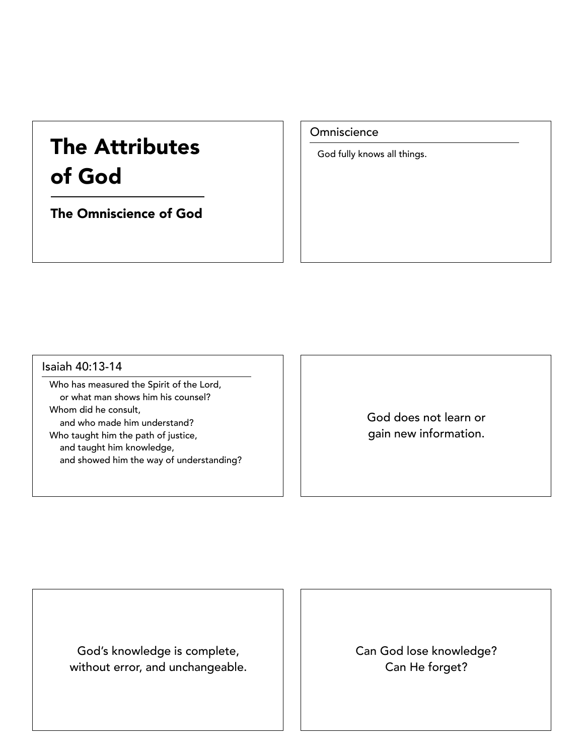# The Attributes of God

The Omniscience of God

**Omniscience** 

God fully knows all things.

### Isaiah 40:13-14

Who has measured the Spirit of the Lord, or what man shows him his counsel? Whom did he consult, and who made him understand? Who taught him the path of justice, and taught him knowledge, and showed him the way of understanding?

God does not learn or gain new information.

God's knowledge is complete, without error, and unchangeable. Can God lose knowledge? Can He forget?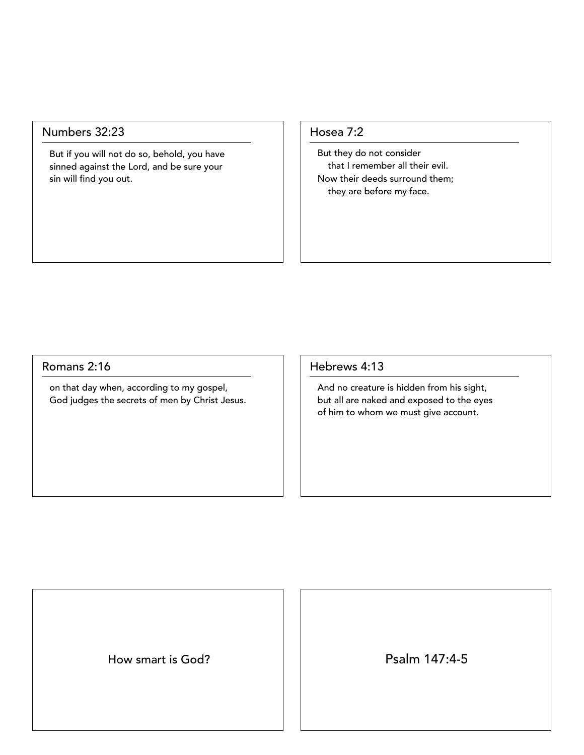## Numbers 32:23

But if you will not do so, behold, you have sinned against the Lord, and be sure your sin will find you out.

## Hosea 7:2

But they do not consider that I remember all their evil. Now their deeds surround them; they are before my face.

## Romans 2:16

on that day when, according to my gospel, God judges the secrets of men by Christ Jesus.

## Hebrews 4:13

And no creature is hidden from his sight, but all are naked and exposed to the eyes of him to whom we must give account.

How smart is God? **Psalm 147:4-5**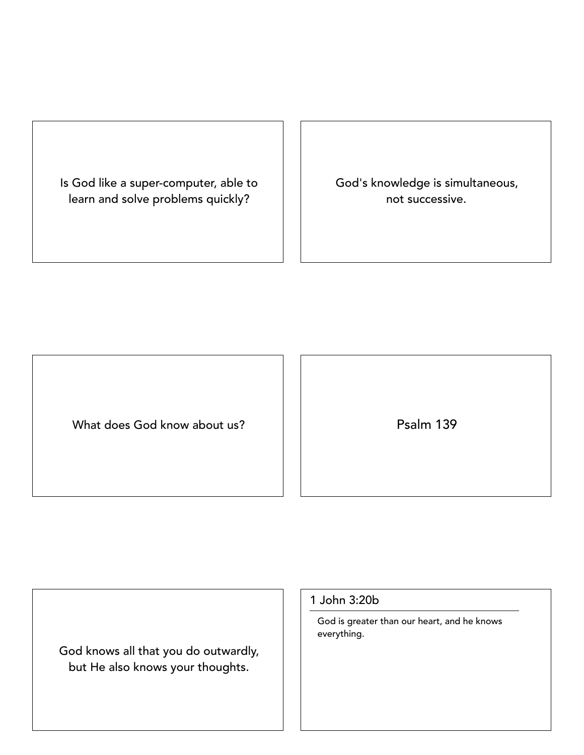Is God like a super-computer, able to learn and solve problems quickly?

God's knowledge is simultaneous, not successive.

What does God know about us? <br>
Psalm 139

God knows all that you do outwardly, but He also knows your thoughts.

## 1 John 3:20b

God is greater than our heart, and he knows everything.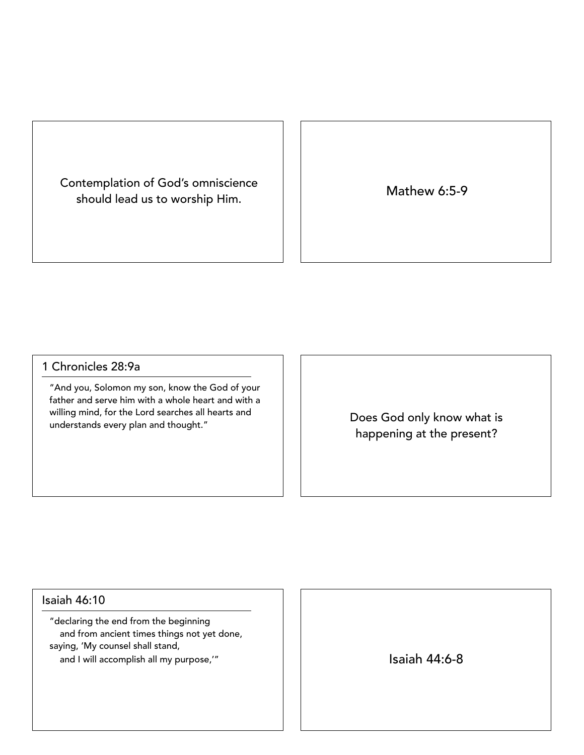

## 1 Chronicles 28:9a

"And you, Solomon my son, know the God of your father and serve him with a whole heart and with a willing mind, for the Lord searches all hearts and willing mind, for the Lord searches all hearts and<br>understands every plan and thought."

happening at the present?

### Isaiah 46:10

"declaring the end from the beginning and from ancient times things not yet done, saying, 'My counsel shall stand,